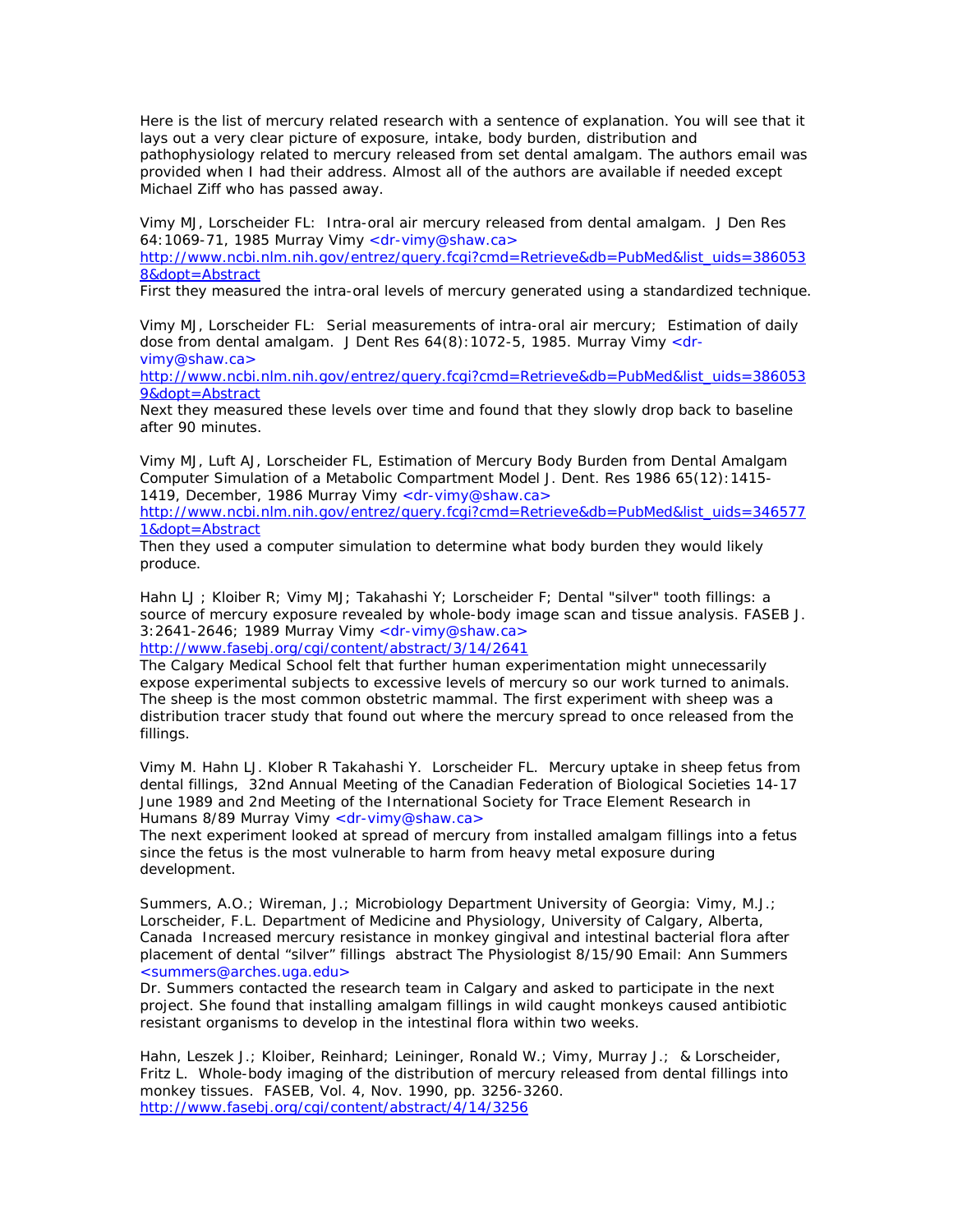Here is the list of mercury related research with a sentence of explanation. You will see that it lays out a very clear picture of exposure, intake, body burden, distribution and pathophysiology related to mercury released from set dental amalgam. The authors email was provided when I had their address. Almost all of the authors are available if needed except Michael Ziff who has passed away.

Vimy MJ, Lorscheider FL: Intra-oral air mercury released from dental amalgam. J Den Res 64:1069-71, 1985 Murray Vimy <dr-vimy@shaw.ca>

http://www.ncbi.nlm.nih.gov/entrez/query.fcgi?cmd=Retrieve&db=PubMed&list\_uids=386053 8&dopt=Abstract

First they measured the intra-oral levels of mercury generated using a standardized technique.

Vimy MJ, Lorscheider FL: Serial measurements of intra-oral air mercury; Estimation of daily dose from dental amalgam. J Dent Res 64(8): 1072-5, 1985. Murray Vimy <drvimy@shaw.ca>

http://www.ncbi.nlm.nih.gov/entrez/query.fcgi?cmd=Retrieve&db=PubMed&list\_uids=386053 9&dopt=Abstract

Next they measured these levels over time and found that they slowly drop back to baseline after 90 minutes.

Vimy MJ, Luft AJ, Lorscheider FL, Estimation of Mercury Body Burden from Dental Amalgam Computer Simulation of a Metabolic Compartment Model J. Dent. Res 1986 65(12):1415- 1419, December, 1986 Murray Vimy <dr-vimy@shaw.ca>

http://www.ncbi.nlm.nih.gov/entrez/query.fcgi?cmd=Retrieve&db=PubMed&list\_uids=346577 1&dopt=Abstract

Then they used a computer simulation to determine what body burden they would likely produce.

Hahn LJ ; Kloiber R; Vimy MJ; Takahashi Y; Lorscheider F; Dental "silver" tooth fillings: a source of mercury exposure revealed by whole-body image scan and tissue analysis. FASEB J. 3:2641-2646; 1989 Murray Vimy <dr-vimy@shaw.ca> http://www.fasebj.org/cgi/content/abstract/3/14/2641

The Calgary Medical School felt that further human experimentation might unnecessarily expose experimental subjects to excessive levels of mercury so our work turned to animals. The sheep is the most common obstetric mammal. The first experiment with sheep was a distribution tracer study that found out where the mercury spread to once released from the fillings.

Vimy M. Hahn LJ. Klober R Takahashi Y. Lorscheider FL. Mercury uptake in sheep fetus from dental fillings, 32nd Annual Meeting of the Canadian Federation of Biological Societies 14-17 June 1989 and 2nd Meeting of the International Society for Trace Element Research in Humans 8/89 Murray Vimy <dr-vimy@shaw.ca>

The next experiment looked at spread of mercury from installed amalgam fillings into a fetus since the fetus is the most vulnerable to harm from heavy metal exposure during development.

Summers, A.O.; Wireman, J.; Microbiology Department University of Georgia: Vimy, M.J.; Lorscheider, F.L. Department of Medicine and Physiology, University of Calgary, Alberta, Canada Increased mercury resistance in monkey gingival and intestinal bacterial flora after placement of dental "silver" fillings abstract The Physiologist 8/15/90 Email: Ann Summers <summers@arches.uga.edu>

Dr. Summers contacted the research team in Calgary and asked to participate in the next project. She found that installing amalgam fillings in wild caught monkeys caused antibiotic resistant organisms to develop in the intestinal flora within two weeks.

Hahn, Leszek J.; Kloiber, Reinhard; Leininger, Ronald W.; Vimy, Murray J.; & Lorscheider, Fritz L. Whole-body imaging of the distribution of mercury released from dental fillings into monkey tissues. FASEB, Vol. 4, Nov. 1990, pp. 3256-3260. http://www.fasebj.org/cgi/content/abstract/4/14/3256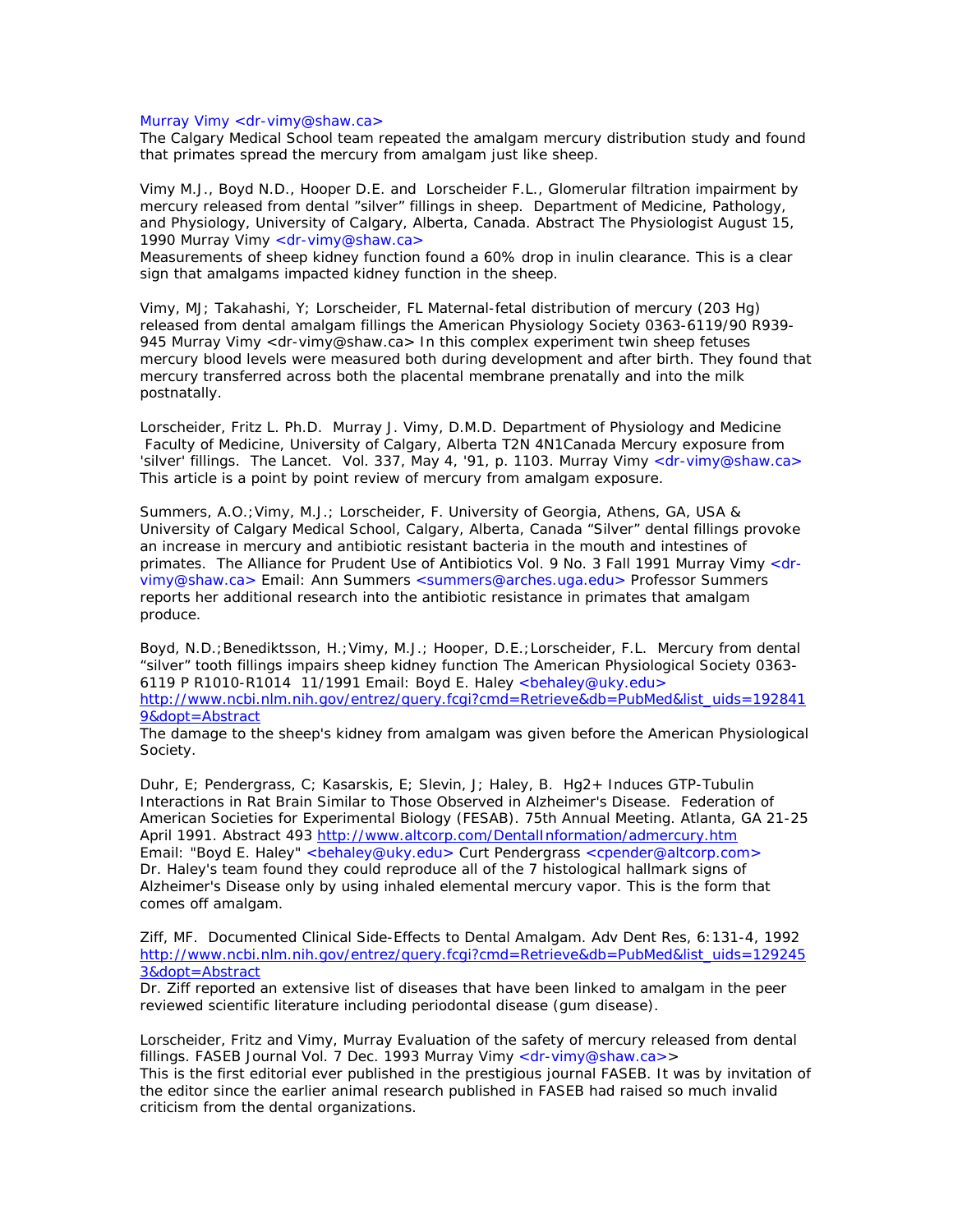## Murray Vimy <dr-vimy@shaw.ca>

The Calgary Medical School team repeated the amalgam mercury distribution study and found that primates spread the mercury from amalgam just like sheep.

Vimy M.J., Boyd N.D., Hooper D.E. and Lorscheider F.L., Glomerular filtration impairment by mercury released from dental "silver" fillings in sheep. Department of Medicine, Pathology, and Physiology, University of Calgary, Alberta, Canada. Abstract The Physiologist August 15, 1990 Murray Vimy <dr-vimy@shaw.ca>

Measurements of sheep kidney function found a 60% drop in inulin clearance. This is a clear sign that amalgams impacted kidney function in the sheep.

Vimy, MJ; Takahashi, Y; Lorscheider, FL Maternal-fetal distribution of mercury (203 Hg) released from dental amalgam fillings the American Physiology Society 0363-6119/90 R939- 945 Murray Vimy <dr-vimy@shaw.ca> In this complex experiment twin sheep fetuses mercury blood levels were measured both during development and after birth. They found that mercury transferred across both the placental membrane prenatally and into the milk postnatally.

Lorscheider, Fritz L. Ph.D. Murray J. Vimy, D.M.D. Department of Physiology and Medicine Faculty of Medicine, University of Calgary, Alberta T2N 4N1Canada Mercury exposure from 'silver' fillings. The Lancet. Vol. 337, May 4, '91, p. 1103. Murray Vimy <dr-vimy@shaw.ca> This article is a point by point review of mercury from amalgam exposure.

Summers, A.O.;Vimy, M.J.; Lorscheider, F. University of Georgia, Athens, GA, USA & University of Calgary Medical School, Calgary, Alberta, Canada "Silver" dental fillings provoke an increase in mercury and antibiotic resistant bacteria in the mouth and intestines of primates. The Alliance for Prudent Use of Antibiotics Vol. 9 No. 3 Fall 1991 Murray Vimy <drvimy@shaw.ca> Email: Ann Summers <summers@arches.uga.edu> Professor Summers reports her additional research into the antibiotic resistance in primates that amalgam produce.

Boyd, N.D.;Benediktsson, H.;Vimy, M.J.; Hooper, D.E.;Lorscheider, F.L. Mercury from dental "silver" tooth fillings impairs sheep kidney function The American Physiological Society 0363- 6119 P R1010-R1014 11/1991 Email: Boyd E. Haley <br />behaley@uky.edu> http://www.ncbi.nlm.nih.gov/entrez/query.fcgi?cmd=Retrieve&db=PubMed&list\_uids=192841 9&dopt=Abstract

The damage to the sheep's kidney from amalgam was given before the American Physiological Society.

Duhr, E; Pendergrass, C; Kasarskis, E; Slevin, J; Haley, B. Hg2+ Induces GTP-Tubulin Interactions in Rat Brain Similar to Those Observed in Alzheimer's Disease. Federation of American Societies for Experimental Biology (FESAB). 75th Annual Meeting. Atlanta, GA 21-25 April 1991. Abstract 493 http://www.altcorp.com/DentalInformation/admercury.htm Email: "Boyd E. Haley" <behaley@uky.edu> Curt Pendergrass <cpender@altcorp.com> Dr. Haley's team found they could reproduce all of the 7 histological hallmark signs of Alzheimer's Disease only by using inhaled elemental mercury vapor. This is the form that comes off amalgam.

Ziff, MF. Documented Clinical Side-Effects to Dental Amalgam. Adv Dent Res, 6:131-4, 1992 http://www.ncbi.nlm.nih.gov/entrez/query.fcgi?cmd=Retrieve&db=PubMed&list\_uids=129245 3&dopt=Abstract

Dr. Ziff reported an extensive list of diseases that have been linked to amalgam in the peer reviewed scientific literature including periodontal disease (gum disease).

Lorscheider, Fritz and Vimy, Murray Evaluation of the safety of mercury released from dental fillings. FASEB Journal Vol. 7 Dec. 1993 Murray Vimy <dr-vimy@shaw.ca>> This is the first editorial ever published in the prestigious journal FASEB. It was by invitation of the editor since the earlier animal research published in FASEB had raised so much invalid criticism from the dental organizations.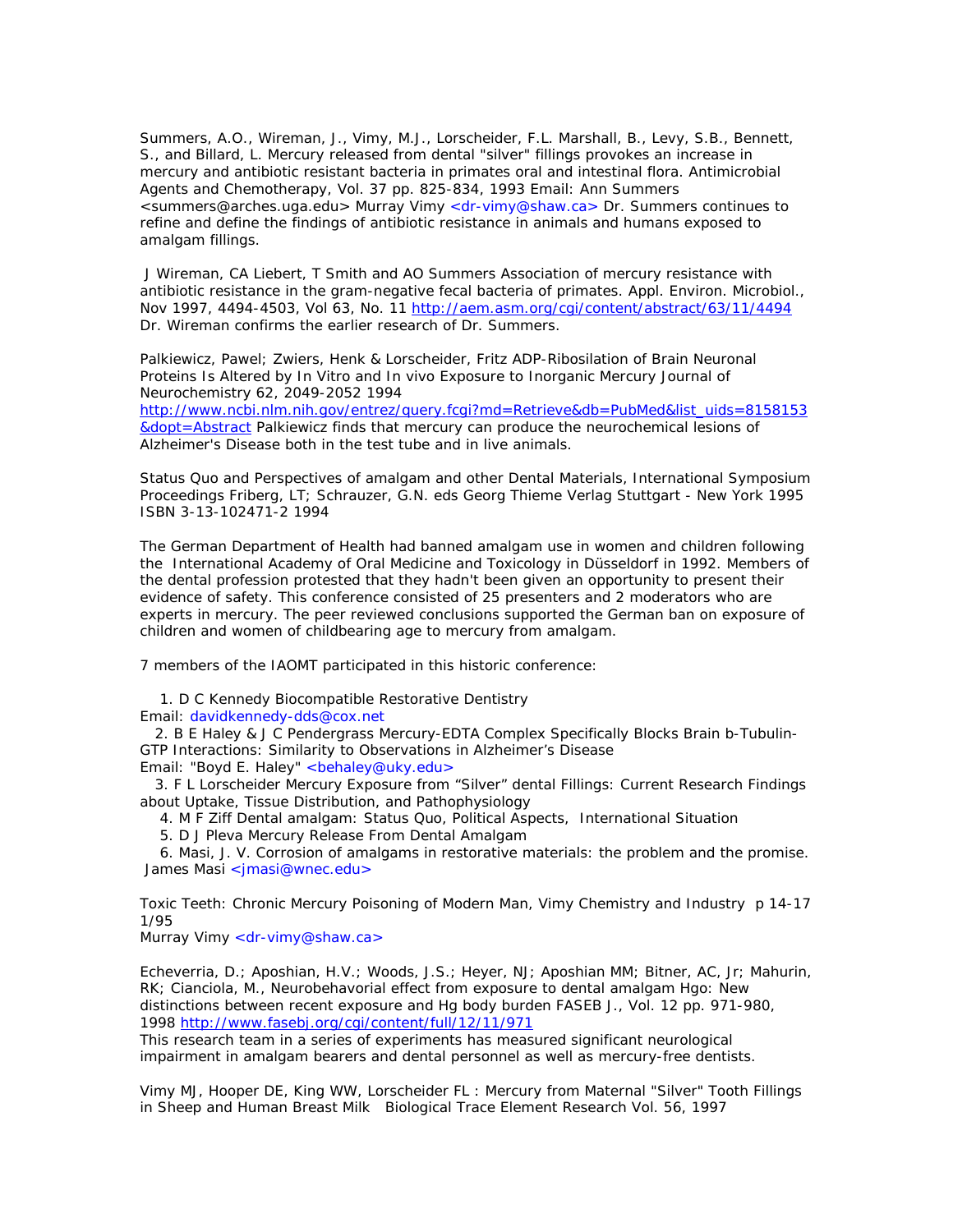Summers, A.O., Wireman, J., Vimy, M.J., Lorscheider, F.L. Marshall, B., Levy, S.B., Bennett, S., and Billard, L. Mercury released from dental "silver" fillings provokes an increase in mercury and antibiotic resistant bacteria in primates oral and intestinal flora. Antimicrobial Agents and Chemotherapy, Vol. 37 pp. 825-834, 1993 Email: Ann Summers <summers@arches.uga.edu> Murray Vimy <dr-vimy@shaw.ca> Dr. Summers continues to refine and define the findings of antibiotic resistance in animals and humans exposed to amalgam fillings.

 J Wireman, CA Liebert, T Smith and AO Summers Association of mercury resistance with antibiotic resistance in the gram-negative fecal bacteria of primates. Appl. Environ. Microbiol., Nov 1997, 4494-4503, Vol 63, No. 11 http://aem.asm.org/cgi/content/abstract/63/11/4494 Dr. Wireman confirms the earlier research of Dr. Summers.

Palkiewicz, Pawel; Zwiers, Henk & Lorscheider, Fritz ADP-Ribosilation of Brain Neuronal Proteins Is Altered by In Vitro and In vivo Exposure to Inorganic Mercury Journal of Neurochemistry 62, 2049-2052 1994

http://www.ncbi.nlm.nih.gov/entrez/query.fcgi?md=Retrieve&db=PubMed&list\_uids=8158153 &dopt=Abstract Palkiewicz finds that mercury can produce the neurochemical lesions of Alzheimer's Disease both in the test tube and in live animals.

Status Quo and Perspectives of amalgam and other Dental Materials, International Symposium Proceedings Friberg, LT; Schrauzer, G.N. eds Georg Thieme Verlag Stuttgart - New York 1995 ISBN 3-13-102471-2 1994

The German Department of Health had banned amalgam use in women and children following the International Academy of Oral Medicine and Toxicology in Düsseldorf in 1992. Members of the dental profession protested that they hadn't been given an opportunity to present their evidence of safety. This conference consisted of 25 presenters and 2 moderators who are experts in mercury. The peer reviewed conclusions supported the German ban on exposure of children and women of childbearing age to mercury from amalgam.

7 members of the IAOMT participated in this historic conference:

1. D C Kennedy Biocompatible Restorative Dentistry

Email: davidkennedy-dds@cox.net

 2. B E Haley & J C Pendergrass Mercury-EDTA Complex Specifically Blocks Brain b-Tubulin-GTP Interactions: Similarity to Observations in Alzheimer's Disease Email: "Boyd E. Haley" <behaley@uky.edu>

 3. F L Lorscheider Mercury Exposure from "Silver" dental Fillings: Current Research Findings about Uptake, Tissue Distribution, and Pathophysiology

4. M F Ziff Dental amalgam: Status Quo, Political Aspects, International Situation

5. D J Pleva Mercury Release From Dental Amalgam

 6. Masi, J. V. Corrosion of amalgams in restorative materials: the problem and the promise. James Masi <jmasi@wnec.edu>

Toxic Teeth: Chronic Mercury Poisoning of Modern Man, Vimy Chemistry and Industry p 14-17 1/95

Murray Vimy <dr-vimy@shaw.ca>

Echeverria, D.; Aposhian, H.V.; Woods, J.S.; Heyer, NJ; Aposhian MM; Bitner, AC, Jr; Mahurin, RK; Cianciola, M., Neurobehavorial effect from exposure to dental amalgam Hgo: New distinctions between recent exposure and Hg body burden FASEB J., Vol. 12 pp. 971-980, 1998 http://www.fasebj.org/cgi/content/full/12/11/971

This research team in a series of experiments has measured significant neurological impairment in amalgam bearers and dental personnel as well as mercury-free dentists.

Vimy MJ, Hooper DE, King WW, Lorscheider FL : Mercury from Maternal "Silver" Tooth Fillings in Sheep and Human Breast Milk Biological Trace Element Research Vol. 56, 1997